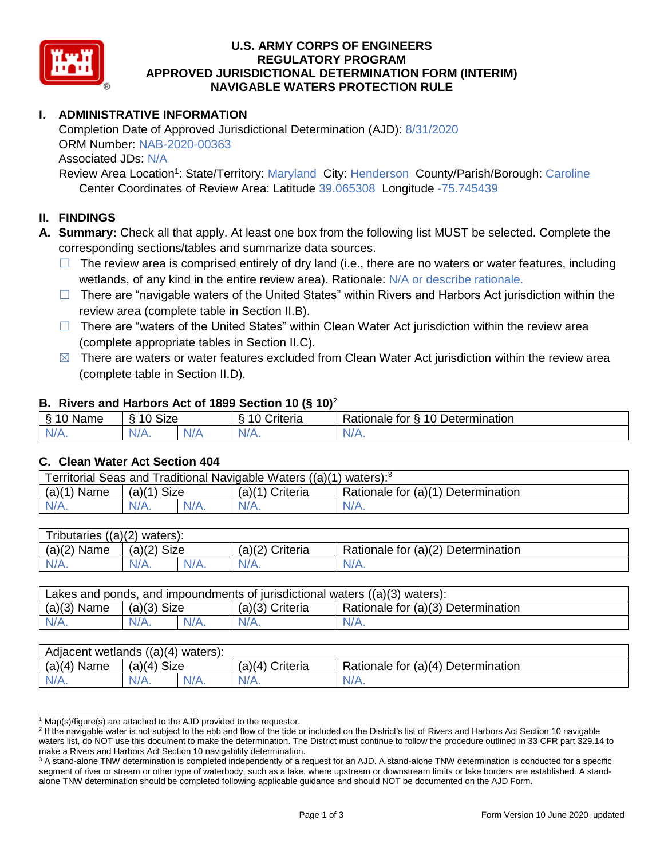

## **U.S. ARMY CORPS OF ENGINEERS REGULATORY PROGRAM APPROVED JURISDICTIONAL DETERMINATION FORM (INTERIM) NAVIGABLE WATERS PROTECTION RULE**

# **I. ADMINISTRATIVE INFORMATION**

Completion Date of Approved Jurisdictional Determination (AJD): 8/31/2020 ORM Number: NAB-2020-00363 Associated JDs: N/A

Review Area Location<sup>1</sup>: State/Territory: Maryland City: Henderson County/Parish/Borough: Caroline Center Coordinates of Review Area: Latitude 39.065308 Longitude -75.745439

### **II. FINDINGS**

**A. Summary:** Check all that apply. At least one box from the following list MUST be selected. Complete the corresponding sections/tables and summarize data sources.

- $\Box$  The review area is comprised entirely of dry land (i.e., there are no waters or water features, including wetlands, of any kind in the entire review area). Rationale: N/A or describe rationale.
- $\Box$  There are "navigable waters of the United States" within Rivers and Harbors Act jurisdiction within the review area (complete table in Section II.B).
- ☐ There are "waters of the United States" within Clean Water Act jurisdiction within the review area (complete appropriate tables in Section II.C).
- $\boxtimes$  There are waters or water features excluded from Clean Water Act jurisdiction within the review area (complete table in Section II.D).

### **B. Rivers and Harbors Act of 1899 Section 10 (§ 10)**<sup>2</sup>

| $\cdot$                           |                   |     |                 |                                               |  |
|-----------------------------------|-------------------|-----|-----------------|-----------------------------------------------|--|
| $\sim$<br><b>NAM</b><br>ame<br>м. | <b>Size</b><br>10 |     | ၊ ဂ<br>`rıterıa | Determination<br>$\Delta$<br>tor<br>Rationale |  |
| $N/A$ .                           | 'V/A.             | N/r | $N/A$ .         | N/A.                                          |  |

### **C. Clean Water Act Section 404**

| Territorial Seas and Traditional Navigable Waters $((a)(1)$ waters): <sup>3</sup> |                |         |                 |                                    |  |
|-----------------------------------------------------------------------------------|----------------|---------|-----------------|------------------------------------|--|
| (a)(1)<br>Name                                                                    | Size<br>(a)(1) |         | (a)(1) Criteria | Rationale for (a)(1) Determination |  |
|                                                                                   | $N/A$ .        | $N/A$ . | $N/A$ .         | $N/A$ .                            |  |

| $((a)(2)$ waters):<br>ributaries |                |      |                    |                                    |  |  |
|----------------------------------|----------------|------|--------------------|------------------------------------|--|--|
| (a)(2)<br>Name                   | (a)(2)<br>Size |      | (a)(2)<br>Criteria | Rationale for (a)(2) Determination |  |  |
| $N/A$ .                          | $N/A$ .        | N/A. | $N/A$ .            | N/A.                               |  |  |

| Lakes and ponds, and impoundments of jurisdictional waters ((a)(3) waters): |               |         |                   |                                    |  |
|-----------------------------------------------------------------------------|---------------|---------|-------------------|------------------------------------|--|
| $(a)(3)$ Name                                                               | $(a)(3)$ Size |         | $(a)(3)$ Criteria | Rationale for (a)(3) Determination |  |
| $N/A$ .                                                                     | $N/A$ .       | $N/A$ . | $N/A$ .           | $N/A$ .                            |  |

| Adjacent wetlands ((a)(4) waters): |                       |         |                    |                                    |  |  |
|------------------------------------|-----------------------|---------|--------------------|------------------------------------|--|--|
| $(a)(4)$ Name                      | <b>Size</b><br>(a)(4) |         | Criteria<br>(a)(4) | Rationale for (a)(4) Determination |  |  |
| $N/A$ .                            | $N/A$ .               | $N/A$ . | $N/A$ .            | $N/A$ .                            |  |  |

 $1$  Map(s)/figure(s) are attached to the AJD provided to the requestor.

<sup>&</sup>lt;sup>2</sup> If the navigable water is not subject to the ebb and flow of the tide or included on the District's list of Rivers and Harbors Act Section 10 navigable waters list, do NOT use this document to make the determination. The District must continue to follow the procedure outlined in 33 CFR part 329.14 to make a Rivers and Harbors Act Section 10 navigability determination.

<sup>&</sup>lt;sup>3</sup> A stand-alone TNW determination is completed independently of a request for an AJD. A stand-alone TNW determination is conducted for a specific segment of river or stream or other type of waterbody, such as a lake, where upstream or downstream limits or lake borders are established. A standalone TNW determination should be completed following applicable guidance and should NOT be documented on the AJD Form.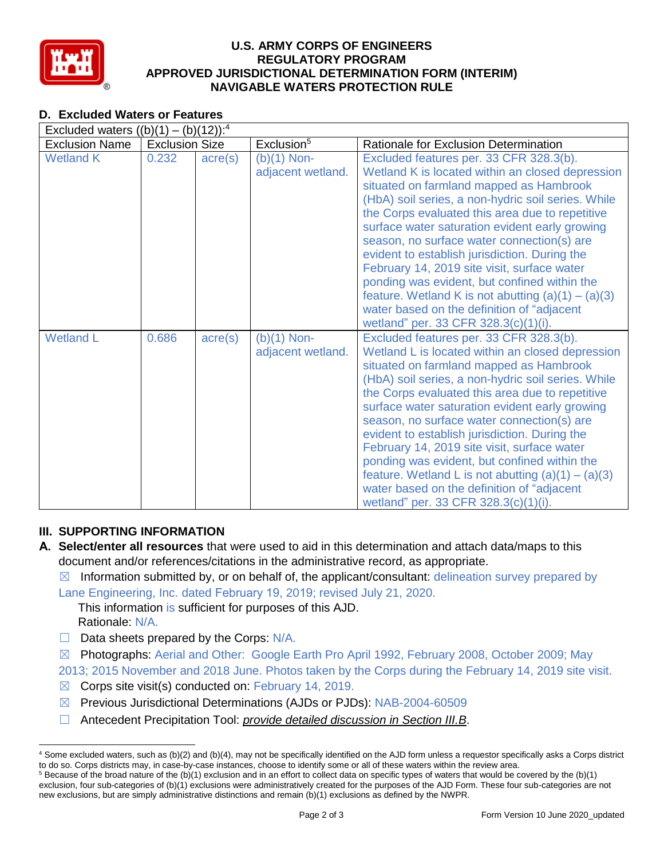

## **U.S. ARMY CORPS OF ENGINEERS REGULATORY PROGRAM APPROVED JURISDICTIONAL DETERMINATION FORM (INTERIM) NAVIGABLE WATERS PROTECTION RULE**

# **D. Excluded Waters or Features**

| Excluded waters $((b)(1) - (b)(12))$ : <sup>4</sup> |                       |                  |                                    |                                                                                                                                                                                                                                                                                                                                                                                                                                                                                                                                                                                                                                               |  |
|-----------------------------------------------------|-----------------------|------------------|------------------------------------|-----------------------------------------------------------------------------------------------------------------------------------------------------------------------------------------------------------------------------------------------------------------------------------------------------------------------------------------------------------------------------------------------------------------------------------------------------------------------------------------------------------------------------------------------------------------------------------------------------------------------------------------------|--|
| <b>Exclusion Name</b>                               | <b>Exclusion Size</b> |                  | Exclusion <sup>5</sup>             | Rationale for Exclusion Determination                                                                                                                                                                                                                                                                                                                                                                                                                                                                                                                                                                                                         |  |
| <b>Wetland K</b>                                    | 0.232                 | $\text{acre}(s)$ | $(b)(1)$ Non-<br>adjacent wetland. | Excluded features per. 33 CFR 328.3(b).<br>Wetland K is located within an closed depression<br>situated on farmland mapped as Hambrook<br>(HbA) soil series, a non-hydric soil series. While<br>the Corps evaluated this area due to repetitive<br>surface water saturation evident early growing<br>season, no surface water connection(s) are<br>evident to establish jurisdiction. During the<br>February 14, 2019 site visit, surface water<br>ponding was evident, but confined within the<br>feature. Wetland K is not abutting $(a)(1) - (a)(3)$<br>water based on the definition of "adjacent<br>wetland" per. 33 CFR 328.3(c)(1)(i). |  |
| <b>Wetland L</b>                                    | 0.686                 | $\text{acre}(s)$ | $(b)(1)$ Non-<br>adjacent wetland. | Excluded features per. 33 CFR 328.3(b).<br>Wetland L is located within an closed depression<br>situated on farmland mapped as Hambrook<br>(HbA) soil series, a non-hydric soil series. While<br>the Corps evaluated this area due to repetitive<br>surface water saturation evident early growing<br>season, no surface water connection(s) are<br>evident to establish jurisdiction. During the<br>February 14, 2019 site visit, surface water<br>ponding was evident, but confined within the<br>feature. Wetland L is not abutting $(a)(1) - (a)(3)$<br>water based on the definition of "adjacent<br>wetland" per. 33 CFR 328.3(c)(1)(i). |  |

# **III. SUPPORTING INFORMATION**

- **A. Select/enter all resources** that were used to aid in this determination and attach data/maps to this document and/or references/citations in the administrative record, as appropriate.
	- $\boxtimes$  Information submitted by, or on behalf of, the applicant/consultant: delineation survey prepared by

Lane Engineering, Inc. dated February 19, 2019; revised July 21, 2020.

This information is sufficient for purposes of this AJD. Rationale: N/A.

- ☐ Data sheets prepared by the Corps: N/A.
- ☒ Photographs: Aerial and Other: Google Earth Pro April 1992, February 2008, October 2009; May

2013; 2015 November and 2018 June. Photos taken by the Corps during the February 14, 2019 site visit.

- $\boxtimes$  Corps site visit(s) conducted on: February 14, 2019.
- ☒ Previous Jurisdictional Determinations (AJDs or PJDs): NAB-2004-60509
- ☐ Antecedent Precipitation Tool: *provide detailed discussion in Section III.B*.

<sup>4</sup> Some excluded waters, such as (b)(2) and (b)(4), may not be specifically identified on the AJD form unless a requestor specifically asks a Corps district to do so. Corps districts may, in case-by-case instances, choose to identify some or all of these waters within the review area.  $5$  Because of the broad nature of the (b)(1) exclusion and in an effort to collect data on specific types of waters that would be covered by the (b)(1)

exclusion, four sub-categories of (b)(1) exclusions were administratively created for the purposes of the AJD Form. These four sub-categories are not new exclusions, but are simply administrative distinctions and remain (b)(1) exclusions as defined by the NWPR.